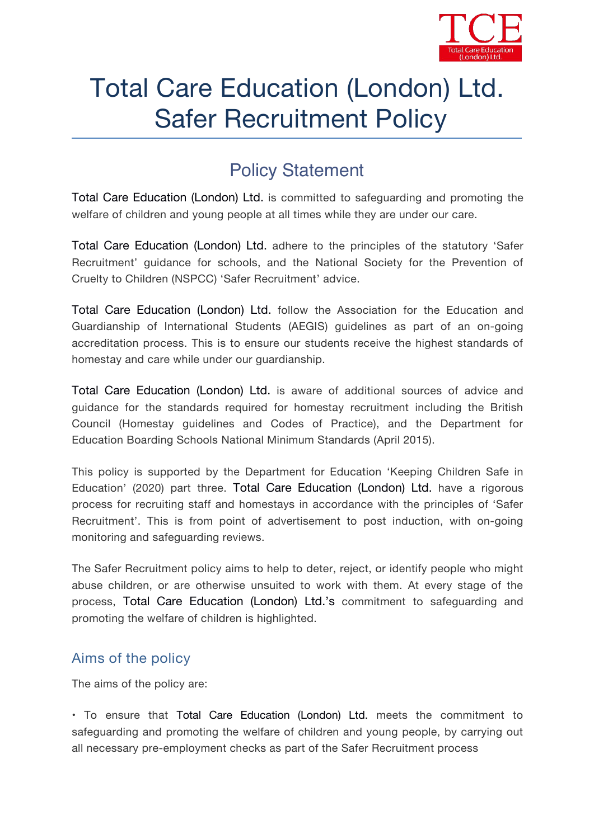

# Total Care Education (London) Ltd. Safer Recruitment Policy

# **Policy Statement**

Total Care Education (London) Ltd. is committed to safeguarding and promoting the welfare of children and young people at all times while they are under our care.

Total Care Education (London) Ltd. adhere to the principles of the statutory 'Safer Recruitment' guidance for schools, and the National Society for the Prevention of Cruelty to Children (NSPCC) 'Safer Recruitment' advice.

Total Care Education (London) Ltd. follow the Association for the Education and Guardianship of International Students (AEGIS) guidelines as part of an on-going accreditation process. This is to ensure our students receive the highest standards of homestay and care while under our guardianship.

Total Care Education (London) Ltd. is aware of additional sources of advice and guidance for the standards required for homestay recruitment including the British Council (Homestay guidelines and Codes of Practice), and the Department for

Education Boarding Schools National Minimum Standards (April 2015).<br>This policy is supported by the Department for Education '*Keeping Children Safe in Education'* (2020) part three. Total Care Education (London) Ltd. have a rigorous process for recruiting staff and homestays in accordance with the principles of 'Safer Recruitment'. This is from point of advertisement to post induction, with on-going monitoring and safeguarding reviews.

The Safer Recruitment policy aims to help to deter, reject, or identify people who might abuse children, or are otherwise unsuited to work with them. At every stage of the process, Total Care Education (London) Ltd.'s commitment to safeguarding and promoting the welfare of children is highlighted.

## **Aims of the policy**

The aims of the policy are:

• To ensure that Total Care Education (London) Ltd. meets the commitment to safeguarding and promoting the welfare of children and young people, by carrying out all necessary pre-employment checks as partof the Safer Recruitment process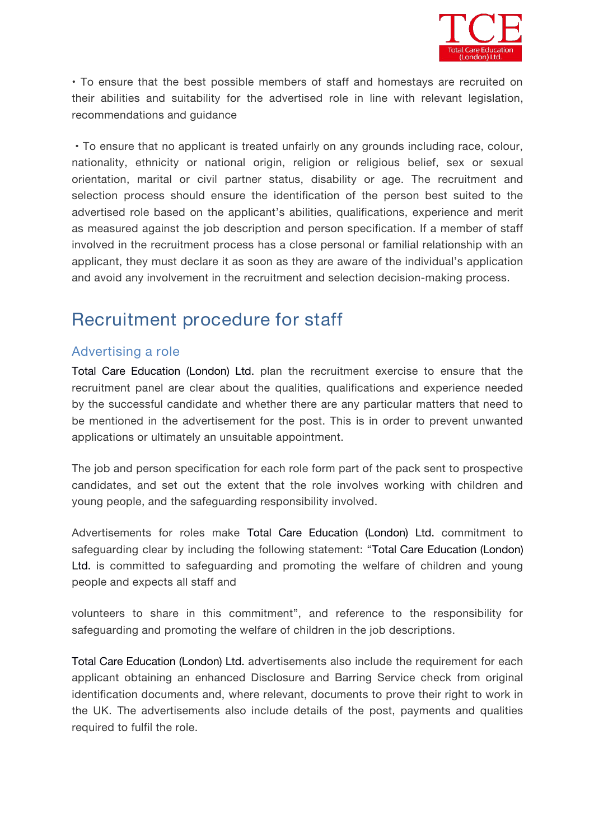

• To ensure that the best possible members of staffand homestays are recruited on their abilities and suitability for the advertised role in line with relevant legislation, recommendations and guidance

• To ensure that no applicant is treated unfairly on any grounds including race, colour, nationality, ethnicity or national origin, religion or religious belief, sex or sexual orientation, marital or civil partner status, disability or age. The recruitment and selection process should ensure the identification of the person best suited to the advertised role based on the applicant's abilities, qualifications, experience and merit as measured against the job description and person specification. If a member of staff involved in the recruitment process has a close personal or familial relationship with an applicant, they must declare it as soon as they are aware of the individual's application and avoid any involvement in the recruitment and selection decision-making process.

# **Recruitment procedure for staff**

#### **Advertising a role**

Total Care Education (London) Ltd. plan the recruitment exercise to ensure that the recruitment panel are clear about the qualities, qualifications and experience needed by the successful candidate and whether there are any particular matters that need to be mentioned in the advertisement for the post. This is in order to prevent unwanted applications or ultimately an unsuitable appointment.

The job and person specification for each role form part of the pack sent to prospective candidates, and set out the extent that the role involves working with children and young people, and the safeguarding responsibility involved.

Advertisements for roles make Total Care Education (London) Ltd. commitment to safeguarding clear by including the following statement: "Total Care Education (London) Ltd. is committed to safeguarding and promoting the welfare of children and young people and expects all staff and

volunteers to share in this commitment", and reference to the responsibility for safeguarding and promoting the welfare of children in the job descriptions.

Total Care Education (London) Ltd. advertisements also include the requirement for each applicant obtaining an enhanced Disclosure and Barring Service check from original identification documents and, where relevant, documents to prove their right to work in the UK. The advertisements also include details of the post, payments and qualities required to fulfil the role.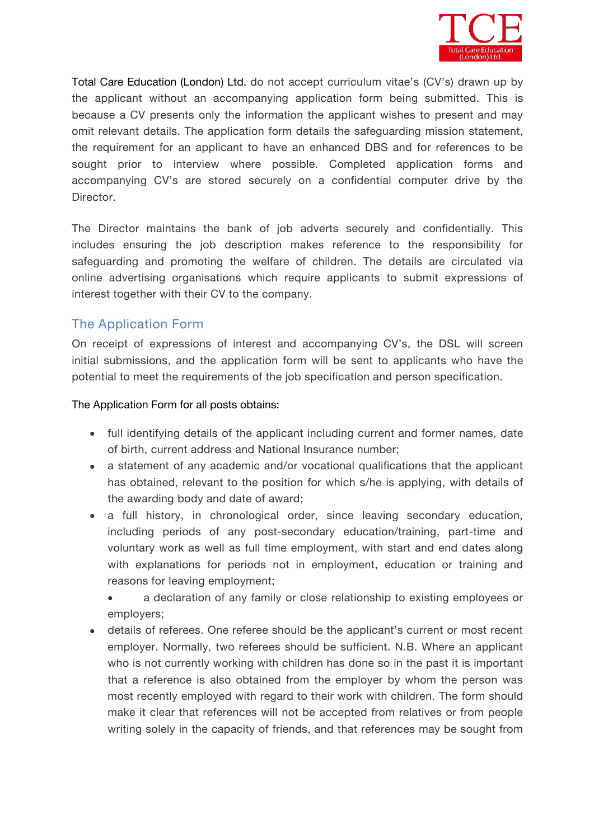

Total Care Education (London) Ltd. do not accept curriculum vitae's (CV's) drawn up by the applicant without an accompanying application form being submitted.This is because a CV presents only the information the applicant wishes to present and may omit relevant details. The application form details the safeguarding mission statement, the requirement for an applicant to have an enhanced DBS and for references to be sought prior to interview where possible. Completed application forms and accompanying CV's are stored securely on a confidential computer drive by the *Director*.

The *Director* maintains the bank of job adverts securely and confidentially. This includes ensuring the job description makes reference to the responsibility for safeguarding and promoting the welfare of children. The details are circulated via online advertising organisations which require applicants to submit expressions of interest together with their CV to the company.

#### **The Application Form**

On receipt of expressions of interest and accompanying CV's, the DSL will screen initial submissions, and the application form will be sent to applicants who have the potential to meet the requirements of the job specification and person specification.

The Application Form for all posts obtains:

- full identifying details of the applicant including current and former names, date of birth, current address and National Insurance number;
- a statement of any academic and/or vocational qualifications that the applicant has obtained, relevant to the position for which s/he is applying, with details of the awarding body and date of award;
- a full history, in chronological order, since leaving secondary education, including periods of any post-secondary education/training, part-time and voluntary work as well as full time employment, with start and end dates along with explanations for periods not in employment, education or training and reasons for leaving employment;
	- a declaration of any family or close relationship to existing employees or employers;
- details of referees. One referee should be the applicant's current or most recent employer. Normally, two referees should be sufficient. N.B. Where an applicant who is not currently working with children has done so in the past it is important that a reference is also obtained from the employer by whom the person was most recently employed with regard to their work with children. The form should make it clear that references will not be accepted from relatives or from people writing solely in the capacity of friends, and that references may be sought from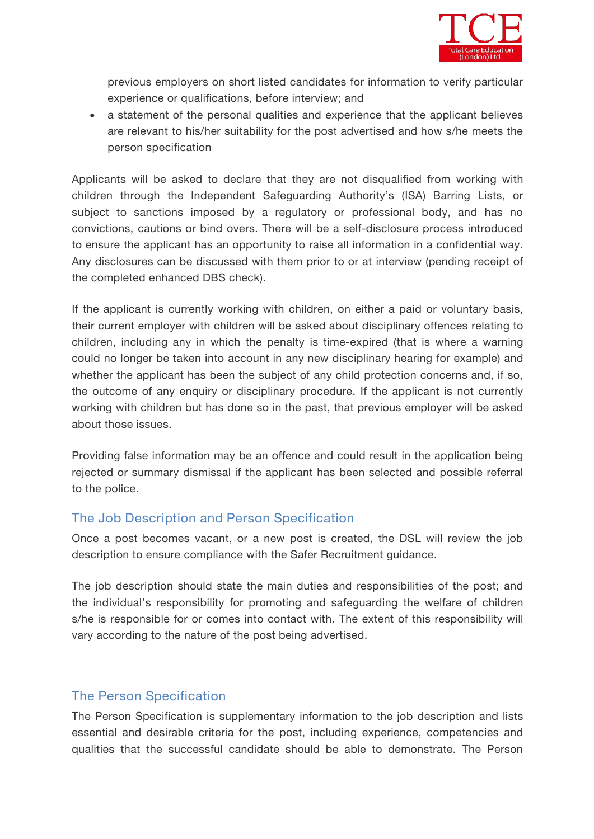

previous employers on short listed candidates for information to verify particular experience or qualifications, before interview; and

 a statement of the personal qualities and experience that the applicant believes are relevant to his/her suitability for the post advertised and how s/he meets the person specification

Applicants will be asked to declare that they are not disqualified from working with children through the Independent Safeguarding Authority's (ISA) Barring Lists, or subject to sanctions imposed by a regulatory or professional body, and has no convictions, cautions or bind overs. There will be a self-disclosure process introduced to ensure the applicant has an opportunity to raise all information in a confidential way. Any disclosures can be discussed with them prior to or at interview (pending receipt of the completed enhanced DBS check).

If the applicant is currently working with children, on either a paid or voluntary basis, their current employer with children will be asked about disciplinary offences relating to children, including any in which the penalty is time-expired (that is where a warning could no longer be taken into account in any new disciplinary hearing for example) and whether the applicant has been the subject of any child protection concerns and, if so, the outcome of any enquiry or disciplinary procedure. If the applicant is not currently working with children but has done so in the past, that previous employer will be asked about those issues.

Providing false information may be an offence and could result in the application being rejected or summary dismissal if the applicant has been selected and possible referral to the police.

#### **The Job Description and Person Specification**

Once a post becomes vacant, or a new post is created, the DSL will review the job description to ensure compliance with the Safer Recruitment guidance.

The job description should state the main duties and responsibilities of the post; and the individual's responsibility for promoting and safeguarding the welfare of children s/he is responsible for or comes into contact with. The extent of this responsibility will vary according to the nature of the post being advertised.

#### **The Person Specification**

The Person Specification is supplementary information to the job description and lists essential and desirable criteria for the post, including experience, competencies and qualities that the successful candidate should be able to demonstrate. The Person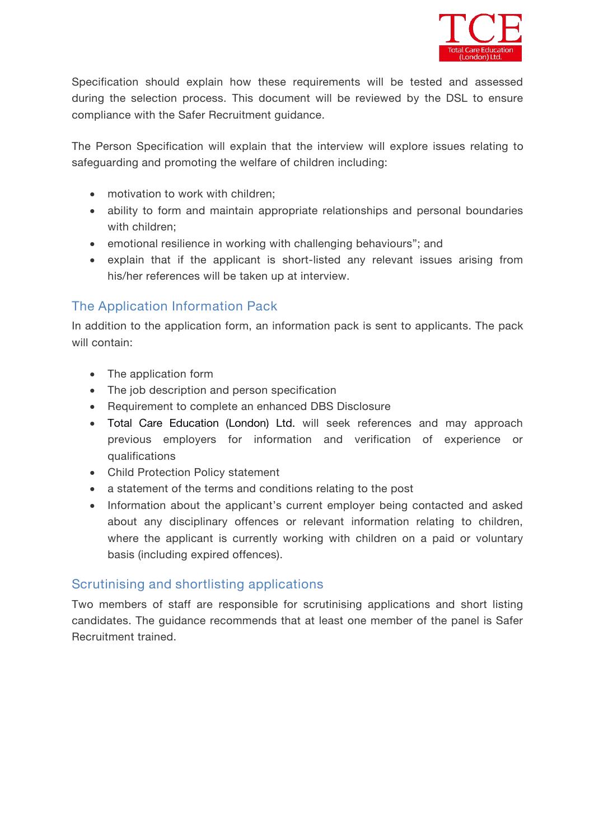

Specification should explain how these requirements will be tested and assessed during the selection process. This document will be reviewed by the DSL to ensure compliance with the Safer Recruitment guidance.

The Person Specification will explain that the interview will explore issues relating to safeguarding and promoting the welfare of children including:

- motivation to work with children:
- ability to form and maintain appropriate relationships and personal boundaries with children:
- emotional resilience in working with challenging behaviours"; and
- explain that if the applicant is short-listed any relevant issues arising from his/her references will be taken up at interview.

### **The Application Information Pack**

In addition to the application form, an information pack is sent to applicants. The pack will contain:

- The application form
- The job description and person specification
- Requirement to complete an enhanced DBS Disclosure
- Total Care Education (London) Ltd. will seek references and may approach previous employers for information and verification of experience or qualifications
- Child Protection Policy statement
- a statement of the terms and conditions relating to the post
- Information about the applicant's current employer being contacted and asked about any disciplinary offences or relevant information relating to children, where the applicant is currently working with children on a paid or voluntary basis (including expired offences).

#### **Scrutinising and shortlisting applications**

Two members of staff are responsible for scrutinising applications and short listing candidates. The guidance recommends that atleast one member of the panel is Safer Recruitment trained.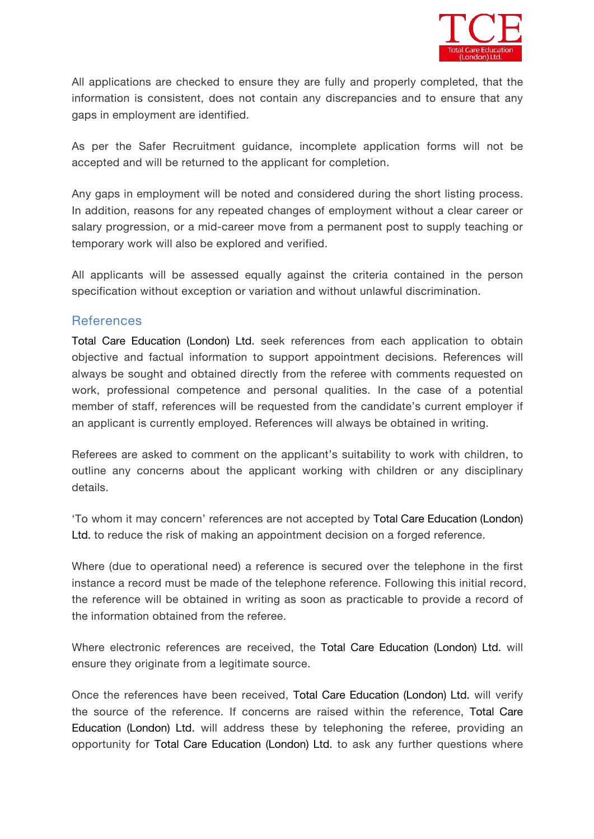

All applications are checked to ensure they are fully and properly completed, that the information is consistent, does not contain any discrepancies and to ensure that any gaps in employment are identified.<br>As per the Safer Recruitment guidance, incomplete application forms will not be

accepted and will be returned to the applicant for completion.

Any gaps in employment will be noted and considered during the short listing process. In addition, reasons for any repeated changes of employment without a clear career or salary progression, or a mid-career move from a permanent post to supply teaching or temporary work will also be explored and verified.

All applicants will be assessed equally against the criteria contained in the person specification without exception or variation and without unlawful discrimination.

#### **References**

Total Care Education (London) Ltd. seek references from each application to obtain objective and factualinformation to support appointment decisions. References will always be sought and obtained directly from the referee with comments requested on work, professional competence and personal qualities. In the case of a potential member of staff, references will be requested from the candidate's current employer if an applicant is currently employed. References will always be obtained in writing.

Referees are asked to comment on the applicant's suitability to work with children, to outline any concerns about the applicant working with children or any disciplinary details.

'To whom it may concern' references are not accepted by Total Care Education (London) Ltd. to reduce the risk of making an appointment decision on a forged reference.

Where (due to operational need) a reference is secured over the telephone in the first instance a record must be made of the telephone reference. Following this initial record, the reference will be obtained in writing as soon as practicable to provide a record of the information obtained from the referee.

Where electronic references are received, the Total Care Education (London) Ltd. will ensure they originate from a legitimate source.

Once the references have been received, Total Care Education (London) Ltd. will verify the source of the reference. If concerns are raised within the reference, Total Care Education (London) Ltd. will address these by telephoning the referee, providing an opportunity for Total Care Education (London) Ltd. to ask any further questions where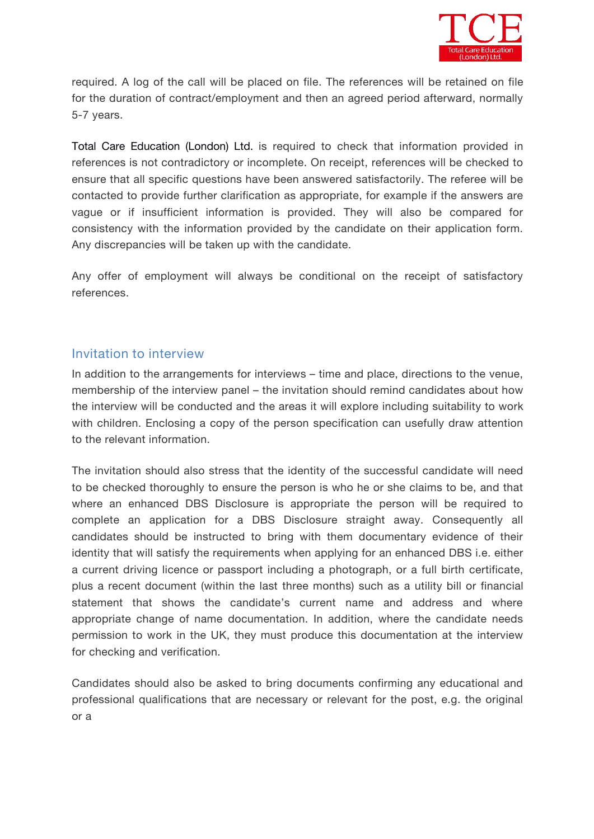

required. A log of the call will be placed on file. The references will be retained on file for the duration of contract/employment and then an agreed period afterward, normally 5-7 years.

Total Care Education (London) Ltd. is required to check that information provided in references is not contradictory or incomplete. On receipt, references will be checked to ensure that all specific questions have been answered satisfactorily. The referee will be contacted to provide further clarification as appropriate, for example if the answers are vague or if insufficient information is provided. They will also be compared for consistency with the information provided by the candidate on their application form. Any discrepancies will be taken up with the candidate.

Any offer of employment will always be conditional on the receipt of satisfactory references.

#### **Invitation to interview**

In addition to the arrangements for interviews – time and place, directions to the venue, membership of the interview panel – the invitation should remind candidates about how the interview will be conducted and the areas it will explore including suitability to work with children. Enclosing a copy of the person specification can usefully draw attention to the relevant information.

The invitation should also stress that the identity of the successful candidate will need to be checked thoroughly to ensure the person is who he or she claims to be, and that where an enhanced DBS Disclosure is appropriate the person will be required to complete an application for a DBS Disclosure straight away. Consequently all candidates should be instructed to bring with them documentary evidence of their identity that will satisfy the requirements when applying for an enhanced DBS i.e. either a current driving licence or passport including a photograph, or a full birth certificate, plus a recent document (within the last three months) such as a utility bill or financial statement that shows the candidate's current name and address and where appropriate change of name documentation. In addition, where the candidate needs permission to work in the UK, they must produce this documentation at the interview for checking and verification.

Candidates should also be asked to bring documents confirming any educational and professional qualifications that are necessary or relevant for the post, e.g. the original or a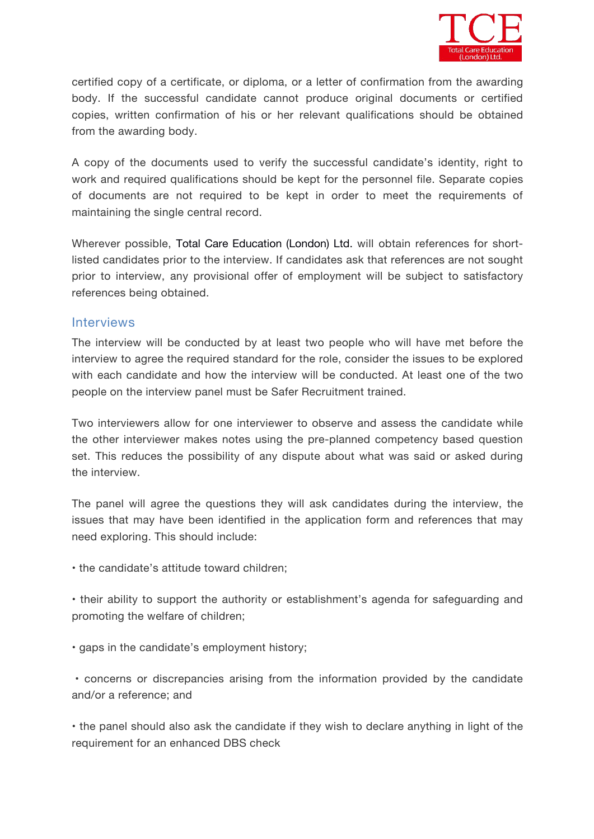

certified copy of a certificate, or diploma, or a letter of confirmation from the awarding body. If the successful candidate cannot produce original documents or certified copies, written confirmation of his or her relevant qualifications should be obtained from the awarding body.

A copy of the documents used to verify the successful candidate's identity, right to work and required qualifications should be kept for the personnel file. Separate copies of documents are not required to be kept in order to meet the requirements of maintaining the single central record.

Wherever possible, Total Care Education (London) Ltd. will obtain references for shortlisted candidates prior to the interview. If candidates ask that references are not sought prior to interview, any provisional offer of employment will be subject to satisfactory references being obtained.

#### **Interviews**

The interview will be conducted by at least two people who will have met before the interview to agree the required standard for the role, consider the issues to be explored with each candidate and how the interview will be conducted. At least one of the two people on the interview panel must be Safer Recruitment trained.

Two interviewers allow for one interviewer to observe and assess the candidate while the other interviewer makes notes using the pre-planned competency based question set. This reduces the possibility of any dispute about what was said or asked during the interview.

The panel will agree the questions they will ask candidates during the interview, the issues that may have been identified in the application form and references that may need exploring. This should include:

• the candidate's attitude toward children;

• their ability to support the authority or establishment's agenda for safeguarding and promoting the welfare of children;

• gaps in the candidate's employment history;

• concerns or discrepancies arising from the information provided by the candidate and/or a reference;and

• the panel should also ask the candidate if they wish to declare anything in light of the requirement for an enhanced DBS check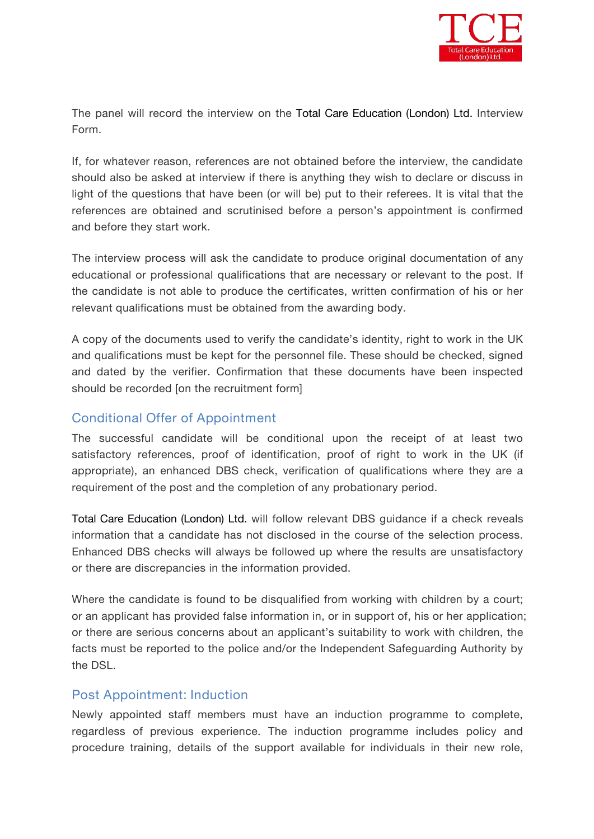

The panel will record the interview on the Total Care Education (London) Ltd. Interview Form.

If, for whatever reason, references are not obtained before the interview, the candidate should also be asked at interview if there is anything they wish to declare or discuss in light of the questions that have been (or will be) put to their referees. It is vital that the references are obtained and scrutinised before a person's appointment is confirmed and before they start work.

The interview process will ask the candidate to produce original documentation of any educational or professional qualifications that are necessary or relevant to the post. If the candidate is not able to produce the certificates, written confirmation of his or her relevant qualifications must be obtained from the awarding body.

A copy of the documents used to verify the candidate's identity, right to work in the UK and qualifications must be kept for the personnel file. These should be checked, signed and dated by the verifier. Confirmation that these documents have been inspected should be recorded [*on the recruitment form]*

#### **Conditional Offer of Appointment**

The successful candidate will be conditional upon the receipt of at least two satisfactory references, proof of identification, proof of right to work in the UK (if appropriate), an enhanced DBS check, verification of qualifications where they are a requirement of the post and the completion of any probationary period.

Total Care Education (London) Ltd. will follow relevant DBS guidance if a check reveals information that a candidate has not disclosed in the course of the selection process. Enhanced DBS checks will always be followed up where the results are unsatisfactory or there are discrepancies in the information provided.

Where the candidate is found to be disqualified from working with children by a court; or an applicant has provided false information in, or in support of, his or her application; or there are serious concerns about an applicant's suitability to work with children, the facts must be reported to the police and/or the Independent Safeguarding Authority by the DSL.

#### **Post Appointment: Induction**

Newly appointed staff members must have an induction programme to complete, regardless of previous experience. The induction programme includes policy and procedure training, details of the support available for individuals in their new role,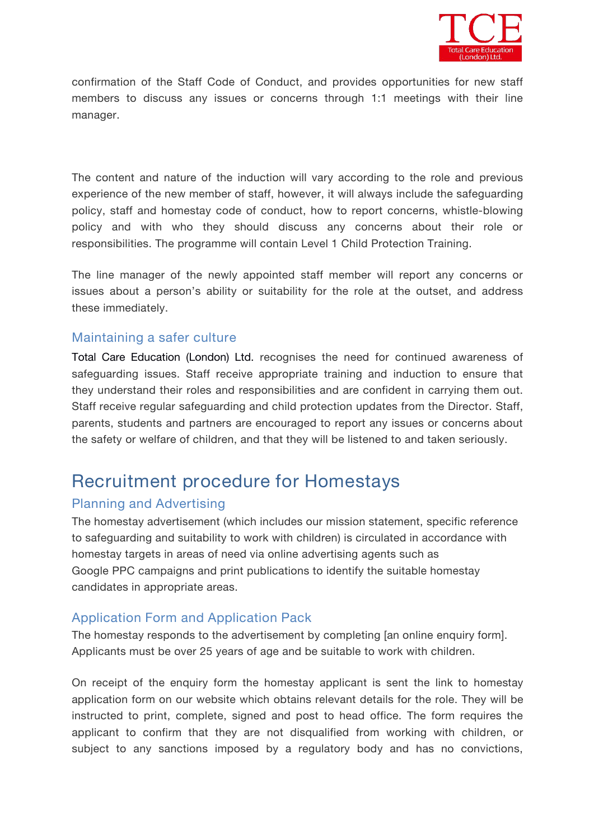

confirmation of the Staff Code of Conduct, and provides opportunities for new staff members to discuss any issues or concerns through 1:1 meetings with their line manager.

The content and nature of the induction will vary according to the role and previous experience of the new member of staff, however, it will always include the safeguarding policy, staff and homestay code of conduct, how to report concerns, whistle-blowing policy and with who they should discuss any concerns about their role or responsibilities. The programme will contain Level 1 Child Protection Training.

The line manager of the newly appointed staff member will report any concerns or issues about a person's ability or suitability for the role at the outset, and address these immediately.

#### **Maintaining a safer culture**

Total Care Education (London) Ltd. recognises the need for continued awareness of safeguarding issues. Staff receive appropriate training and induction to ensure that they understand their roles and responsibilities and are confident in carrying them out. Staff receive regular safeguarding and child protection updates from the Director. Staff, parents, students and partners are encouraged to report any issues or concerns about the safety or welfare of children, and that they will be listened to and taken seriously.

# **Recruitment procedure for Homestays**

#### **Planning and Advertising**

The homestay advertisement (which includes our mission statement, specific reference to safeguarding and suitability to work with children) is circulated in accordance with homestay targets in areas of need via online advertising agents such as Google PPC campaigns and print publications to identify the suitable homestay candidates in appropriate areas.

## **Application Form and Application Pack**

The homestay responds to the advertisement by completing *[an online enquiry form].* Applicants must be over 25 years of age and be suitable to work with children.

On receipt of the enquiry form the homestay applicant is sent *the link to homestay application form on our website* which obtains relevant details for the role. They will be instructed to print, complete, signed and post to head office. The form requires the applicant to confirm that they are not disqualified from working with children, or subject to any sanctions imposed by a regulatory body and has no convictions,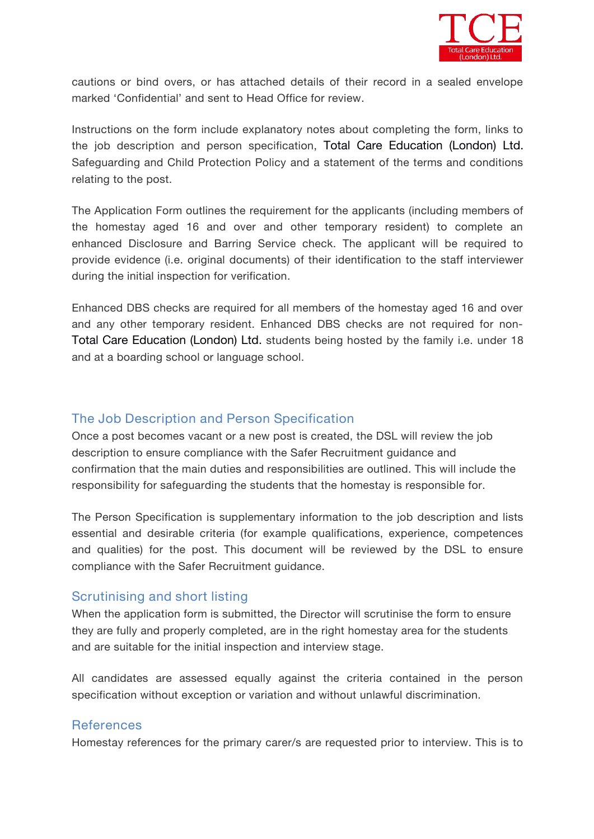

cautions or bind overs, or has attached details of their record in a sealed envelope marked 'Confidential' and sent to Head Office for review.

Instructions on the form include explanatory notes about completing the form, links to the job description and person specification, Total Care Education (London) Ltd. Safeguarding and Child Protection Policy and a statement of the terms and conditions

relating to the post.<br>The Application Form outlines the requirement for the applicants (including members of the homestay aged 16 and over and other temporary resident) to complete an enhanced Disclosure and Barring Service check. The applicant will be required to provide evidence (i.e. original documents) of their identification to the staff interviewer during the initial inspection for verification.

Enhanced DBS checks are required for all members of the homestay aged 16 and over and any other temporary resident. Enhanced DBS checks are not required for non- Total Care Education (London) Ltd. students being hosted by the family i.e. under 18 and at a boarding school or language school.

#### **The Job Description and Person Specification**

Once a post becomes vacant or a new post is created, the DSL will review the job description to ensure compliance with the Safer Recruitment guidance and confirmation that the main duties and responsibilities are outlined. This will include the responsibility for safeguarding the students that the homestay is responsible for.

The Person Specification is supplementary information to the job description and lists essential and desirable criteria (for example qualifications, experience, competences and qualities) for the post. This document will be reviewed by the DSL to ensure compliance with the Safer Recruitment guidance.

#### **Scrutinising and short listing**

When the application form is submitted, the *Director* will scrutinise the form to ensure they are fully and properly completed, are in the right homestay area for the students and are suitable for the initial inspection and interview stage.

All candidates are assessed equally against the criteria contained in the person specification without exception or variation and without unlawful discrimination.

#### **References**

Homestay references for the primary carer/s are requested prior to interview. This is to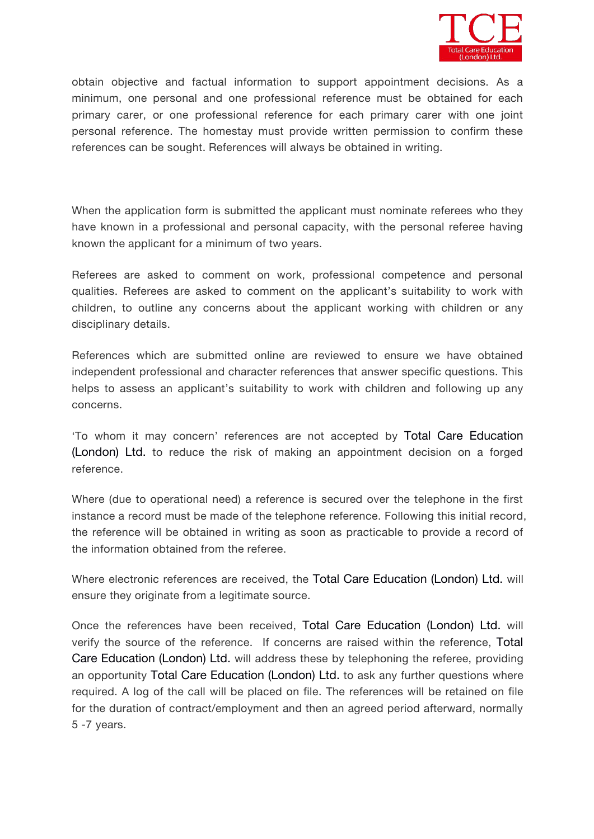

obtain objective and factual information to support appointment decisions. As a minimum, one personal and one professional reference must be obtained for each primary carer, or one professional reference for each primary carer with one joint personal reference. The homestay must provide written permission to confirm these references can be sought. References will always be obtained in writing.

When the application form is submitted the applicant must nominate referees who they have known in a professional and personal capacity, with the personal referee having known the applicant for a minimum of two years.

Referees are asked to comment on work, professional competence and personal qualities. Referees are asked to comment on the applicant's suitability to work with children, to outline any concerns about the applicant working with children or any disciplinary details.

References which are submitted online are reviewed to ensure we have obtained independent professional and character references that answer specific questions. This helps to assess an applicant's suitability to work with children and following up any concerns.

'To whom it may concern' references are not accepted byTotal Care Education (London) Ltd. to reduce the risk of making an appointment decision on a forged reference.

Where (due to operational need) a reference is secured over the telephone in the first instance a record must be made of the telephone reference. Following this initial record, the reference will be obtained in writing as soon as practicable to provide a record of the information obtained from the referee.

Where electronic references are received, the Total Care Education (London) Ltd. will ensure they originate from a legitimate source.

Once the references have been received, Total Care Education (London) Ltd. will verify the source of the reference. If concerns are raised within the reference, Total Care Education (London) Ltd. will address these by telephoning the referee, providing an opportunity Total Care Education (London) Ltd. to ask any further questions where required. A log of the call will be placed on file. The references will be retained on file for the duration of contract/employment and then an agreed period afterward, normally 5 -7 years.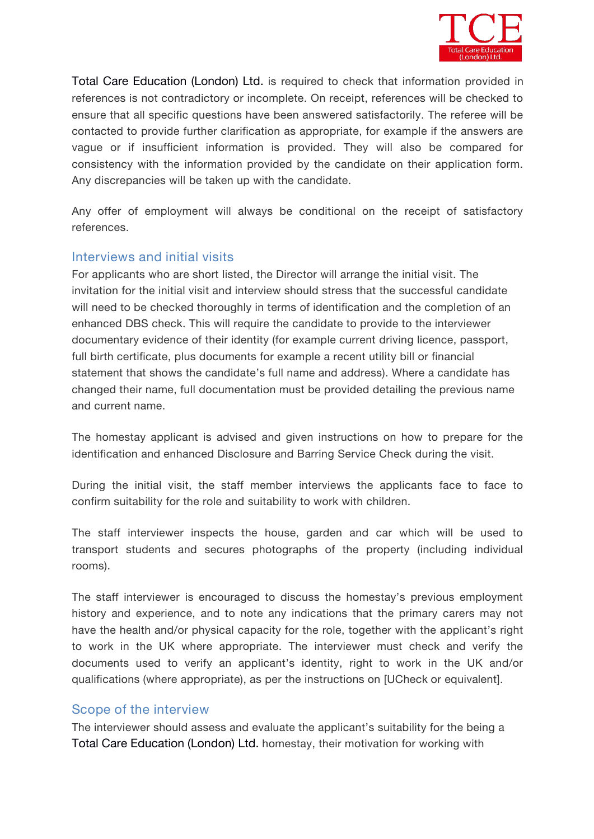

Total Care Education (London) Ltd. is required to check that information provided in references is not contradictory or incomplete. On receipt, references will be checked to ensure that all specific questions have been answered satisfactorily. The referee will be contacted to provide further clarification as appropriate, for example if the answers are vague or if insufficient information is provided. They will also be compared for consistency with the information provided by the candidate on their application form. Any discrepancies will be taken up with the candidate.

Any offer of employment will always be conditional on the receipt of satisfactory references.

#### **Interviews and initial visits**

For applicants who are short listed, the *Director* will arrange the initial visit. The invitation for the initial visit and interview should stress that the successful candidate will need to be checked thoroughly in terms of identification and the completion of an enhanced DBS check. This will require the candidate to provide to the interviewer documentary evidence of their identity (for example current driving licence, passport, full birth certificate, plus documents for example a recent utility bill or financial statement that shows the candidate's full name and address). Where a candidate has changed their name, full documentation must be provided detailing the previous name and current name.

The homestay applicant is advised and given instructions on how to prepare for the identification and enhanced Disclosure and Barring Service Check during the visit.

During the initial visit, the staff member interviews the applicants face to face to confirm suitability for the role and suitability to work with children.

The staff interviewer inspects the house, garden and car which will be used to transport students and secures photographs of the property (including individual rooms).

The staff interviewer is encouraged to discuss the homestay's previous employment history and experience, and to note any indications that the primary carers may not have the health and/or physical capacity for the role, together with the applicant's right to work in the UK where appropriate. The interviewer must check and verify the documents used to verify an applicant's identity, right to work in the UK and/or qualifications (where appropriate), as per the instructions on *[UCheck or equivalent].*

#### **Scope of the interview**

The interviewer should assess and evaluate the applicant's suitability for the being a Total Care Education (London) Ltd. homestay, their motivation for working with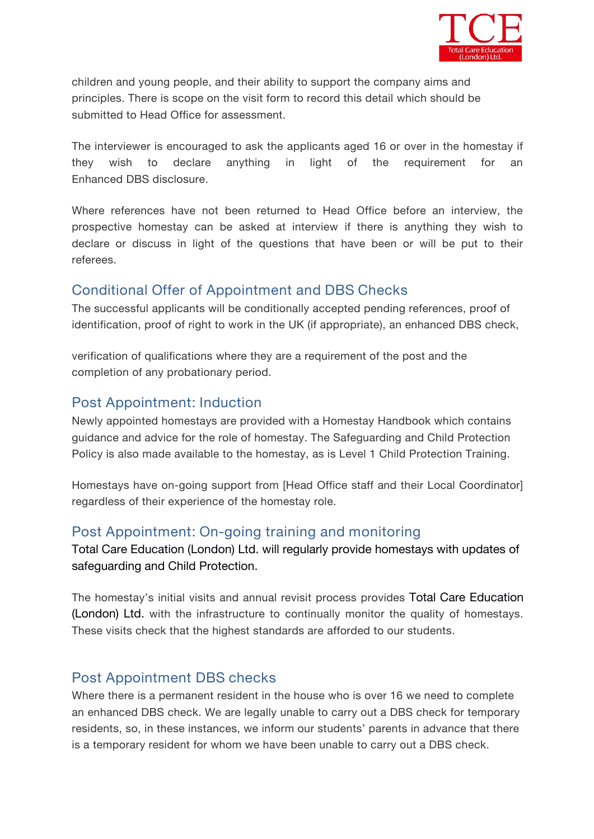

children and young people, and their ability to support the company aims and principles. There is scope on the visit form to record this detail which should be submitted to Head Office for assessment.

The interviewer is encouraged to ask the applicants aged 16 or over in the homestay if they wish to declare anything in light of the requirement for an Enhanced DBS disclosure.

Where references have not been returned to Head Office before an interview, the prospective homestay can be asked at interview if there is anything they wish to declare or discuss in light of the questions that have been or will be put to their referees.

## **Conditional Offer of Appointment and DBS Checks**

The successful applicants will be conditionally accepted pending references, proof of identification, proof of right to work in the UK (if appropriate), an enhanced DBS check,

verification of qualifications where they are a requirement of the post and the completion of any probationary period.

## **Post Appointment: Induction**

Newly appointed homestays are provided with a Homestay Handbook which contains guidance and advice for the role of homestay. The Safeguarding and Child Protection Policy is also made available to the homestay, as is Level 1 Child Protection Training.

Homestays have on-going support from *[Head Office staff and their Local Coordinator]* regardless of their experience of the homestay role.

# **Post Appointment: On-going training and monitoring**

Total Care Education (London) Ltd. will regularly provide homestays with updates of safeguarding and Child Protection.

The homestay's initial visits and annual revisit process provides Total Care Education (London) Ltd. with the infrastructure to continually monitor the quality of homestays. These visits check that the highest standards are afforded to our students.

# **Post Appointment DBS checks**

Where there is a permanent resident in the house who is over 16 we need to complete an enhanced DBS check. We are legally unable to carry out a DBS check for temporary residents, so, in these instances, we inform our students' parents in advance that there is a temporary resident for whom we have been unable to carry out a DBS check.